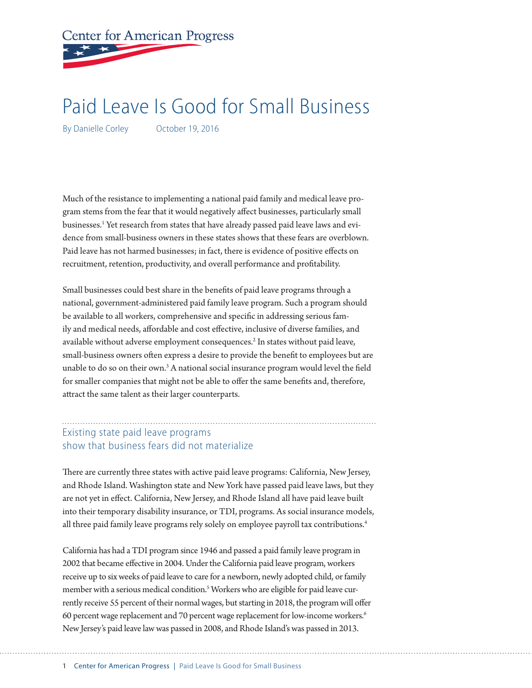

# Paid Leave Is Good for Small Business

By Danielle Corley **October 19, 2016** 

Much of the resistance to implementing a national paid family and medical leave program stems from the fear that it would negatively affect businesses, particularly small businesses.<sup>1</sup> Yet research from states that have already passed paid leave laws and evidence from small-business owners in these states shows that these fears are overblown. Paid leave has not harmed businesses; in fact, there is evidence of positive effects on recruitment, retention, productivity, and overall performance and profitability.

Small businesses could best share in the benefits of paid leave programs through a national, government-administered paid family leave program. Such a program should be available to all workers, comprehensive and specific in addressing serious family and medical needs, affordable and cost effective, inclusive of diverse families, and available without adverse employment consequences.<sup>2</sup> In states without paid leave, small-business owners often express a desire to provide the benefit to employees but are unable to do so on their own.<sup>3</sup> A national social insurance program would level the field for smaller companies that might not be able to offer the same benefits and, therefore, attract the same talent as their larger counterparts.

#### Existing state paid leave programs show that business fears did not materialize

There are currently three states with active paid leave programs: California, New Jersey, and Rhode Island. Washington state and New York have passed paid leave laws, but they are not yet in effect. California, New Jersey, and Rhode Island all have paid leave built into their temporary disability insurance, or TDI, programs. As social insurance models, all three paid family leave programs rely solely on employee payroll tax contributions.<sup>4</sup>

California has had a TDI program since 1946 and passed a paid family leave program in 2002 that became effective in 2004. Under the California paid leave program, workers receive up to six weeks of paid leave to care for a newborn, newly adopted child, or family member with a serious medical condition.<sup>5</sup> Workers who are eligible for paid leave currently receive 55 percent of their normal wages, but starting in 2018, the program will offer 60 percent wage replacement and 70 percent wage replacement for low-income workers.6 New Jersey's paid leave law was passed in 2008, and Rhode Island's was passed in 2013.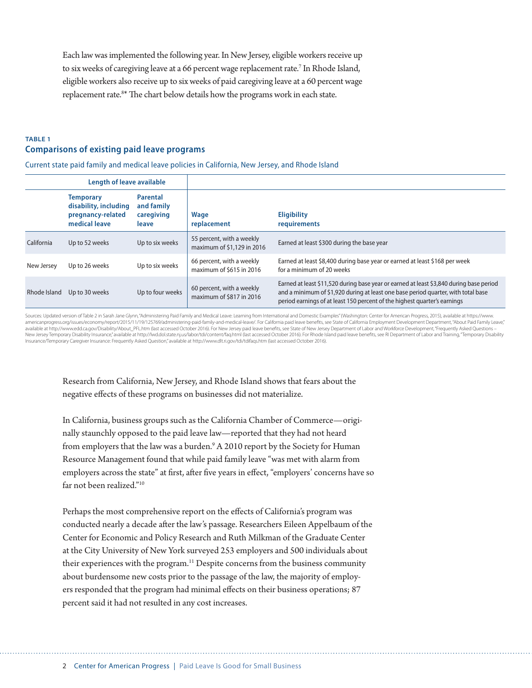Each law was implemented the following year. In New Jersey, eligible workers receive up to six weeks of caregiving leave at a 66 percent wage replacement rate.<sup>7</sup> In Rhode Island, eligible workers also receive up to six weeks of paid caregiving leave at a 60 percent wage replacement rate.<sup>8\*</sup> The chart below details how the programs work in each state.

#### **TABLE 1 Comparisons of existing paid leave programs**

Current state paid family and medical leave policies in California, New Jersey, and Rhode Island

| Length of leave available |                                                                                 |                                                      |                                                         |                                                                                                                                                                                                                                                           |
|---------------------------|---------------------------------------------------------------------------------|------------------------------------------------------|---------------------------------------------------------|-----------------------------------------------------------------------------------------------------------------------------------------------------------------------------------------------------------------------------------------------------------|
|                           | <b>Temporary</b><br>disability, including<br>pregnancy-related<br>medical leave | <b>Parental</b><br>and family<br>caregiving<br>leave | Wage<br>replacement                                     | <b>Eligibility</b><br>requirements                                                                                                                                                                                                                        |
| California                | Up to 52 weeks                                                                  | Up to six weeks                                      | 55 percent, with a weekly<br>maximum of \$1,129 in 2016 | Earned at least \$300 during the base year                                                                                                                                                                                                                |
| New Jersey                | Up to 26 weeks                                                                  | Up to six weeks                                      | 66 percent, with a weekly<br>maximum of \$615 in 2016   | Earned at least \$8,400 during base year or earned at least \$168 per week<br>for a minimum of 20 weeks                                                                                                                                                   |
| Rhode Island              | Up to 30 weeks                                                                  | Up to four weeks                                     | 60 percent, with a weekly<br>maximum of \$817 in 2016   | Earned at least \$11,520 during base year or earned at least \$3,840 during base period<br>and a minimum of \$1,920 during at least one base period quarter, with total base<br>period earnings of at least 150 percent of the highest quarter's earnings |

Sources: Updated version of Table 2 in Sarah Jane Glynn,"Administering Paid Family and Medical Leave: Learning from International and Domestic Examples" (Washington: Center for American Progress, 2015), available at https: americanprogress.org/issues/economy/report/2015/11/19/125769/administering-paid-family-and-medical-leave/. For California paid leave benefits, see State of California Employment Development Department, "About Paid Family L New Jersey Temporary Disability Insurance," available at http://lwd.dol.state.nj.us/labor/tdi/content/faq.html (last accessed October 2016). For Rhode Island paid leave benefits, see RI Department of Labor and Training, "T Insurance/Temporary Caregiver Insurance: Frequently Asked Question," available at http://www.dlt.ri.gov/tdi/tdifaqs.htm (last accessed October 2016).

Research from California, New Jersey, and Rhode Island shows that fears about the negative effects of these programs on businesses did not materialize.

In California, business groups such as the California Chamber of Commerce—originally staunchly opposed to the paid leave law—reported that they had not heard from employers that the law was a burden.<sup>9</sup> A 2010 report by the Society for Human Resource Management found that while paid family leave "was met with alarm from employers across the state" at first, after five years in effect, "employers' concerns have so far not been realized<sup>"10</sup>

Perhaps the most comprehensive report on the effects of California's program was conducted nearly a decade after the law's passage. Researchers Eileen Appelbaum of the Center for Economic and Policy Research and Ruth Milkman of the Graduate Center at the City University of New York surveyed 253 employers and 500 individuals about their experiences with the program.<sup>11</sup> Despite concerns from the business community about burdensome new costs prior to the passage of the law, the majority of employers responded that the program had minimal effects on their business operations; 87 percent said it had not resulted in any cost increases.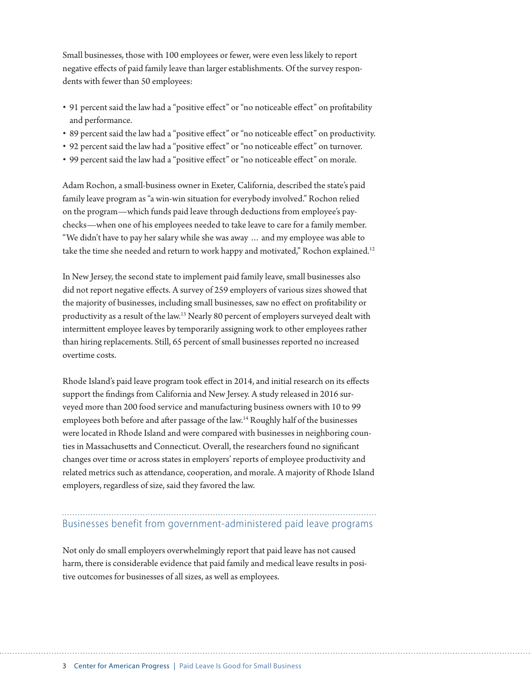Small businesses, those with 100 employees or fewer, were even less likely to report negative effects of paid family leave than larger establishments. Of the survey respondents with fewer than 50 employees:

- 91 percent said the law had a "positive effect" or "no noticeable effect" on profitability and performance.
- 89 percent said the law had a "positive effect" or "no noticeable effect" on productivity.
- 92 percent said the law had a "positive effect" or "no noticeable effect" on turnover.
- 99 percent said the law had a "positive effect" or "no noticeable effect" on morale.

Adam Rochon, a small-business owner in Exeter, California, described the state's paid family leave program as "a win-win situation for everybody involved." Rochon relied on the program—which funds paid leave through deductions from employee's paychecks—when one of his employees needed to take leave to care for a family member. "We didn't have to pay her salary while she was away … and my employee was able to take the time she needed and return to work happy and motivated," Rochon explained.<sup>12</sup>

In New Jersey, the second state to implement paid family leave, small businesses also did not report negative effects. A survey of 259 employers of various sizes showed that the majority of businesses, including small businesses, saw no effect on profitability or productivity as a result of the law.13 Nearly 80 percent of employers surveyed dealt with intermittent employee leaves by temporarily assigning work to other employees rather than hiring replacements. Still, 65 percent of small businesses reported no increased overtime costs.

Rhode Island's paid leave program took effect in 2014, and initial research on its effects support the findings from California and New Jersey. A study released in 2016 surveyed more than 200 food service and manufacturing business owners with 10 to 99 employees both before and after passage of the law.14 Roughly half of the businesses were located in Rhode Island and were compared with businesses in neighboring counties in Massachusetts and Connecticut. Overall, the researchers found no significant changes over time or across states in employers' reports of employee productivity and related metrics such as attendance, cooperation, and morale. A majority of Rhode Island employers, regardless of size, said they favored the law.

### Businesses benefit from government-administered paid leave programs

Not only do small employers overwhelmingly report that paid leave has not caused harm, there is considerable evidence that paid family and medical leave results in positive outcomes for businesses of all sizes, as well as employees.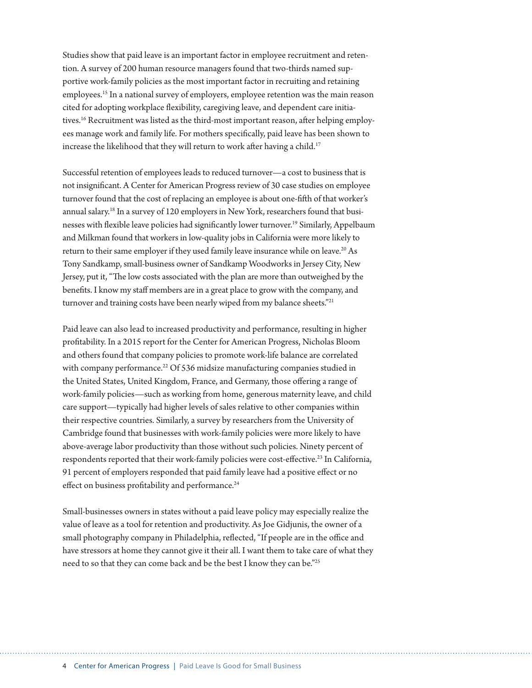Studies show that paid leave is an important factor in employee recruitment and retention. A survey of 200 human resource managers found that two-thirds named supportive work-family policies as the most important factor in recruiting and retaining employees.15 In a national survey of employers, employee retention was the main reason cited for adopting workplace flexibility, caregiving leave, and dependent care initiatives.<sup>16</sup> Recruitment was listed as the third-most important reason, after helping employees manage work and family life. For mothers specifically, paid leave has been shown to increase the likelihood that they will return to work after having a child.<sup>17</sup>

Successful retention of employees leads to reduced turnover—a cost to business that is not insignificant. A Center for American Progress review of 30 case studies on employee turnover found that the cost of replacing an employee is about one-fifth of that worker's annual salary.18 In a survey of 120 employers in New York, researchers found that businesses with flexible leave policies had significantly lower turnover.19 Similarly, Appelbaum and Milkman found that workers in low-quality jobs in California were more likely to return to their same employer if they used family leave insurance while on leave.<sup>20</sup> As Tony Sandkamp, small-business owner of Sandkamp Woodworks in Jersey City, New Jersey, put it, "The low costs associated with the plan are more than outweighed by the benefits. I know my staff members are in a great place to grow with the company, and turnover and training costs have been nearly wiped from my balance sheets."<sup>21</sup>

Paid leave can also lead to increased productivity and performance, resulting in higher profitability. In a 2015 report for the Center for American Progress, Nicholas Bloom and others found that company policies to promote work-life balance are correlated with company performance.<sup>22</sup> Of 536 midsize manufacturing companies studied in the United States, United Kingdom, France, and Germany, those offering a range of work-family policies—such as working from home, generous maternity leave, and child care support—typically had higher levels of sales relative to other companies within their respective countries. Similarly, a survey by researchers from the University of Cambridge found that businesses with work-family policies were more likely to have above-average labor productivity than those without such policies. Ninety percent of respondents reported that their work-family policies were cost-effective.<sup>23</sup> In California, 91 percent of employers responded that paid family leave had a positive effect or no effect on business profitability and performance.<sup>24</sup>

Small-businesses owners in states without a paid leave policy may especially realize the value of leave as a tool for retention and productivity. As Joe Gidjunis, the owner of a small photography company in Philadelphia, reflected, "If people are in the office and have stressors at home they cannot give it their all. I want them to take care of what they need to so that they can come back and be the best I know they can be."25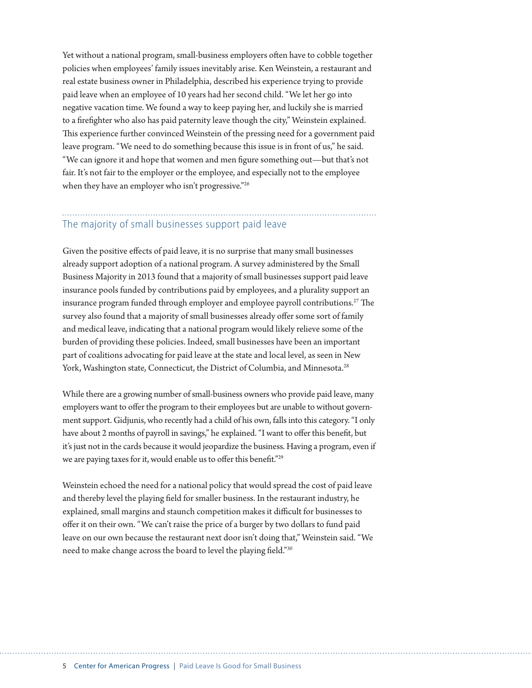Yet without a national program, small-business employers often have to cobble together policies when employees' family issues inevitably arise. Ken Weinstein, a restaurant and real estate business owner in Philadelphia, described his experience trying to provide paid leave when an employee of 10 years had her second child. "We let her go into negative vacation time. We found a way to keep paying her, and luckily she is married to a firefighter who also has paid paternity leave though the city," Weinstein explained. This experience further convinced Weinstein of the pressing need for a government paid leave program. "We need to do something because this issue is in front of us," he said. "We can ignore it and hope that women and men figure something out—but that's not fair. It's not fair to the employer or the employee, and especially not to the employee when they have an employer who isn't progressive."<sup>26</sup>

## The majority of small businesses support paid leave

Given the positive effects of paid leave, it is no surprise that many small businesses already support adoption of a national program. A survey administered by the Small Business Majority in 2013 found that a majority of small businesses support paid leave insurance pools funded by contributions paid by employees, and a plurality support an insurance program funded through employer and employee payroll contributions.<sup>27</sup> The survey also found that a majority of small businesses already offer some sort of family and medical leave, indicating that a national program would likely relieve some of the burden of providing these policies. Indeed, small businesses have been an important part of coalitions advocating for paid leave at the state and local level, as seen in New York, Washington state, Connecticut, the District of Columbia, and Minnesota.<sup>28</sup>

While there are a growing number of small-business owners who provide paid leave, many employers want to offer the program to their employees but are unable to without government support. Gidjunis, who recently had a child of his own, falls into this category. "I only have about 2 months of payroll in savings," he explained. "I want to offer this benefit, but it's just not in the cards because it would jeopardize the business. Having a program, even if we are paying taxes for it, would enable us to offer this benefit."29

Weinstein echoed the need for a national policy that would spread the cost of paid leave and thereby level the playing field for smaller business. In the restaurant industry, he explained, small margins and staunch competition makes it difficult for businesses to offer it on their own. "We can't raise the price of a burger by two dollars to fund paid leave on our own because the restaurant next door isn't doing that," Weinstein said. "We need to make change across the board to level the playing field."30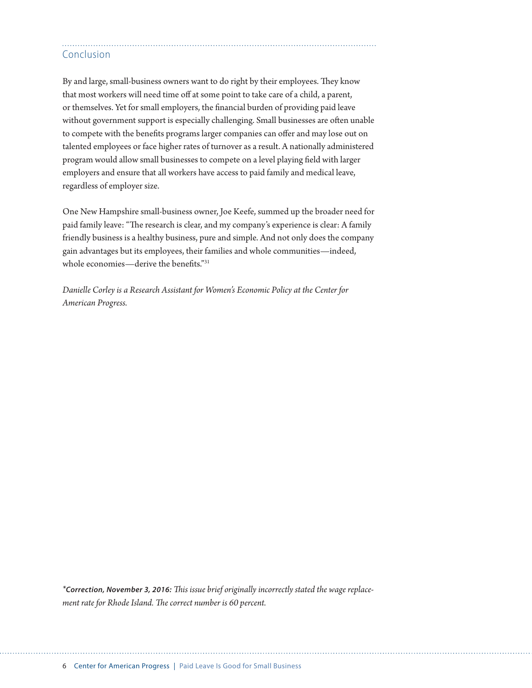### Conclusion

By and large, small-business owners want to do right by their employees. They know that most workers will need time off at some point to take care of a child, a parent, or themselves. Yet for small employers, the financial burden of providing paid leave without government support is especially challenging. Small businesses are often unable to compete with the benefits programs larger companies can offer and may lose out on talented employees or face higher rates of turnover as a result. A nationally administered program would allow small businesses to compete on a level playing field with larger employers and ensure that all workers have access to paid family and medical leave, regardless of employer size.

One New Hampshire small-business owner, Joe Keefe, summed up the broader need for paid family leave: "The research is clear, and my company's experience is clear: A family friendly business is a healthy business, pure and simple. And not only does the company gain advantages but its employees, their families and whole communities—indeed, whole economies—derive the benefits."31

*Danielle Corley is a Research Assistant for Women's Economic Policy at the Center for American Progress.* 

*\*Correction, November 3, 2016: This issue brief originally incorrectly stated the wage replacement rate for Rhode Island. The correct number is 60 percent.*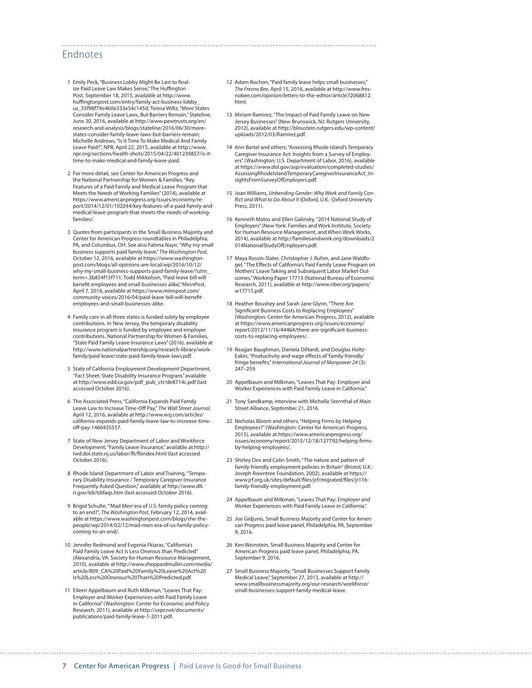### Endnotes

- 1 Emily Peck, "Business Lobby Might Be Last to Realize Paid Leave Law Makes Sense," The Huffington Post, September 18, 2015, available at [http://www.](http://www.huffingtonpost.com/entry/family-act-business-lobby_us_55f98f79e4b0e333e54c145d) [huffingtonpost.com/entry/family-act-business-lobby\\_](http://www.huffingtonpost.com/entry/family-act-business-lobby_us_55f98f79e4b0e333e54c145d) us 55f98f79e4b0e333e54c145d; Teresa Wiltz, "More States Consider Family Leave Laws, But Barriers Remain," Stateline, June 30, 2016, available at [http://www.pewtrusts.org/en/](http://www.pewtrusts.org/en/research-and-analysis/blogs/stateline/2016/06/30/more-states-consider-family-leave-laws-but-barriers-remain) [research-and-analysis/blogs/stateline/2016/06/30/more](http://www.pewtrusts.org/en/research-and-analysis/blogs/stateline/2016/06/30/more-states-consider-family-leave-laws-but-barriers-remain)[states-consider-family-leave-laws-but-barriers-remain;](http://www.pewtrusts.org/en/research-and-analysis/blogs/stateline/2016/06/30/more-states-consider-family-leave-laws-but-barriers-remain) Michelle Andrews, "Is It Time To Make Medical And Family Leave Paid?", NPR, April 22, 2015, available at [http://www.](http://www.npr.org/sections/health-shots/2015/04/22/401239857/is-it-time-to-make-medical-and-family-leave-paid) [npr.org/sections/health-shots/2015/04/22/401239857/is-it](http://www.npr.org/sections/health-shots/2015/04/22/401239857/is-it-time-to-make-medical-and-family-leave-paid)[time-to-make-medical-and-family-leave-paid](http://www.npr.org/sections/health-shots/2015/04/22/401239857/is-it-time-to-make-medical-and-family-leave-paid).
- 2 For more detail, see Center for American Progress and the National Partnership for Women & Families, "Key Features of a Paid Family and Medical Leave Program that Meets the Needs of Working Families" (2014), available at [https://www.americanprogress.org/issues/economy/re](https://www.americanprogress.org/issues/economy/report/2014/12/01/102244/key-features-of-a-paid-family-and-medical-leave-program-that-meets-the-needs-of-working-families/)[port/2014/12/01/102244/key-features-of-a-paid-family-and](https://www.americanprogress.org/issues/economy/report/2014/12/01/102244/key-features-of-a-paid-family-and-medical-leave-program-that-meets-the-needs-of-working-families/)[medical-leave-program-that-meets-the-needs-of-working](https://www.americanprogress.org/issues/economy/report/2014/12/01/102244/key-features-of-a-paid-family-and-medical-leave-program-that-meets-the-needs-of-working-families/)[families/](https://www.americanprogress.org/issues/economy/report/2014/12/01/102244/key-features-of-a-paid-family-and-medical-leave-program-that-meets-the-needs-of-working-families/).
- 3 Quotes from participants in the Small Business Majority and Center for American Progress roundtables in Philadelphia, PA, and Columbus, OH. See also Fatima Nayir, "Why my small business supports paid family leave," *The Washington Post,*  October 12, 2016, available at [https://www.washington](https://www.washingtonpost.com/blogs/all-opinions-are-local/wp/2016/10/12/why-my-small-business-supports-paid-family-leave/?utm_term=.3b854f15f711)[post.com/blogs/all-opinions-are-local/wp/2016/10/12/](https://www.washingtonpost.com/blogs/all-opinions-are-local/wp/2016/10/12/why-my-small-business-supports-paid-family-leave/?utm_term=.3b854f15f711) [why-my-small-business-supports-paid-family-leave/?utm\\_](https://www.washingtonpost.com/blogs/all-opinions-are-local/wp/2016/10/12/why-my-small-business-supports-paid-family-leave/?utm_term=.3b854f15f711) [term=.3b854f15f711;](https://www.washingtonpost.com/blogs/all-opinions-are-local/wp/2016/10/12/why-my-small-business-supports-paid-family-leave/?utm_term=.3b854f15f711) Todd Mikkelson, "Paid-leave bill will benefit employees and small businesses alike," MinnPost, April 7, 2016, available at [https://www.minnpost.com/](https://www.minnpost.com/community-voices/2016/04/paid-leave-bill-will-benefit-employees-and-small-businesses-alike) [community-voices/2016/04/paid-leave-bill-will-benefit](https://www.minnpost.com/community-voices/2016/04/paid-leave-bill-will-benefit-employees-and-small-businesses-alike)[employees-and-small-businesses-alike.](https://www.minnpost.com/community-voices/2016/04/paid-leave-bill-will-benefit-employees-and-small-businesses-alike)
- 4 Family care in all three states is funded solely by employee contributions. In New Jersey, the temporary disability insurance program is funded by employee and employer contributions. National Partnership for Women & Families, "State Paid Family Leave Insurance Laws" (2016), available at [http://www.nationalpartnership.org/research-library/work](http://www.nationalpartnership.org/research-library/work-family/paid-leave/state-paid-family-leave-laws.pdf)[family/paid-leave/state-paid-family-leave-laws.pdf.](http://www.nationalpartnership.org/research-library/work-family/paid-leave/state-paid-family-leave-laws.pdf)
- 5 State of California Employment Development Department, "Fact Sheet: State Disability Insurance Program," available at [http://www.edd.ca.gov/pdf\\_pub\\_ctr/de8714c.pdf](http://www.edd.ca.gov/pdf_pub_ctr/de8714c.pdf) (last accessed October 2016).
- 6 The Associated Press, "California Expands Paid Family Leave Law to Increase Time-Off Pay," *The Wall Street Journal,*  April 12, 2016, available at [http://www.wsj.com/articles/](http://www.wsj.com/articles/california-expands-paid-family-leave-law-to-increase-time-off-pay-1460435557) [california-expands-paid-family-leave-law-to-increase-time](http://www.wsj.com/articles/california-expands-paid-family-leave-law-to-increase-time-off-pay-1460435557)[off-pay-1460435557.](http://www.wsj.com/articles/california-expands-paid-family-leave-law-to-increase-time-off-pay-1460435557)
- 7 State of New Jersey Department of Labor and Workforce Development, "Family Leave Insurance," available at [http://](http://lwd.dol.state.nj.us/labor/fli/fliindex.html) [lwd.dol.state.nj.us/labor/fli/fliindex.html](http://lwd.dol.state.nj.us/labor/fli/fliindex.html) (last accessed October 2016).
- 8 Rhode Island Department of Labor and Training, "Temporary Disability Insurance / Temporary Caregiver Insurance Frequently Asked Question," available at [http://www.dlt.](http://www.dlt.ri.gov/tdi/tdifaqs.htm) [ri.gov/tdi/tdifaqs.htm](http://www.dlt.ri.gov/tdi/tdifaqs.htm) (last accessed October 2016).
- 9 Brigid Schulte, "'Mad Men' era of U.S. family policy coming to an end?", *The Washington Post*, February 12, 2014, available at [https://www.washingtonpost.com/blogs/she-the](https://www.washingtonpost.com/blogs/she-the-people/wp/2014/02/12/mad-men-era-of-us-family-policy-coming-to-an-end/)[people/wp/2014/02/12/mad-men-era-of-us-family-policy](https://www.washingtonpost.com/blogs/she-the-people/wp/2014/02/12/mad-men-era-of-us-family-policy-coming-to-an-end/)[coming-to-an-end/](https://www.washingtonpost.com/blogs/she-the-people/wp/2014/02/12/mad-men-era-of-us-family-policy-coming-to-an-end/).
- 10 Jennifer Redmond and Evgenia Fkiaras, "California's Paid Family Leave Act Is Less Onerous than Predicted" (Alexandria, VA: Society for Human Resource Management, 2010), available at [http://www.sheppardmullin.com/media/](http://www.sheppardmullin.com/media/article/809_CA%20Paid%20Family%20Leave%20Act%20Is%20Less%20Onerous%20Than%20Predicted.pdf) [article/809\\_CA%20Paid%20Family%20Leave%20Act%20](http://www.sheppardmullin.com/media/article/809_CA%20Paid%20Family%20Leave%20Act%20Is%20Less%20Onerous%20Than%20Predicted.pdf) [Is%20Less%20Onerous%20Than%20Predicted.pdf.](http://www.sheppardmullin.com/media/article/809_CA%20Paid%20Family%20Leave%20Act%20Is%20Less%20Onerous%20Than%20Predicted.pdf)
- 11 Eileen Appelbaum and Ruth Milkman, "Leaves That Pay: Employer and Worker Experiences with Paid Family Leave in California" (Washington: Center for Economic and Policy Research, 2011), available at [http://cepr.net/documents/](http://cepr.net/documents/publications/paid-family-leave-1-2011.pdf) [publications/paid-family-leave-1-2011.pdf.](http://cepr.net/documents/publications/paid-family-leave-1-2011.pdf)

12 Adam Rochon, "Paid family leave helps small businesses," *The Fresno Bee*, April 15, 2016, available at [http://www.fres](http://www.fresnobee.com/opinion/letters-to-the-editor/article72068812.html)[nobee.com/opinion/letters-to-the-editor/article72068812.](http://www.fresnobee.com/opinion/letters-to-the-editor/article72068812.html) [html.](http://www.fresnobee.com/opinion/letters-to-the-editor/article72068812.html)

- 13 Miriam Ramirez, "The Impact of Paid Family Leave on New Jersey Businesses" (New Brunswick, NJ: Rutgers University, 2012), available at [http://bloustein.rutgers.edu/wp-content/](http://bloustein.rutgers.edu/wp-content/uploads/2012/03/Ramirez.pdf) [uploads/2012/03/Ramirez.pdf.](http://bloustein.rutgers.edu/wp-content/uploads/2012/03/Ramirez.pdf)
- 14 Ann Bartel and others, "Assessing Rhode Island's Temporary Caregiver Insurance Act: Insights from a Survey of Employers" (Washington: U.S. Department of Labor, 2016), available at [https://www.dol.gov/asp/evaluation/completed-studies/](https://www.dol.gov/asp/evaluation/completed-studies/AssessingRhodeIslandTemporaryCaregiverInsuranceAct_InsightsFromSurveyOfEmployers.pdf) [AssessingRhodeIslandTemporaryCaregiverInsuranceAct\\_In](https://www.dol.gov/asp/evaluation/completed-studies/AssessingRhodeIslandTemporaryCaregiverInsuranceAct_InsightsFromSurveyOfEmployers.pdf)[sightsFromSurveyOfEmployers.pdf.](https://www.dol.gov/asp/evaluation/completed-studies/AssessingRhodeIslandTemporaryCaregiverInsuranceAct_InsightsFromSurveyOfEmployers.pdf)
- 15 Joan Williams, *Unbending Gender: Why Work and Family Conflict and What to Do About It* (Oxford, U.K.: Oxford University Press, 2011).
- 16 Kenneth Matos and Ellen Galinsky, "2014 National Study of Employers" (New York: Families and Work Institute, Society for Human Resource Management, and When Work Works, 2014), available at [http://familiesandwork.org/downloads/2](http://familiesandwork.org/downloads/2014NationalStudyOfEmployers.pdf) [014NationalStudyOfEmployers.pdf](http://familiesandwork.org/downloads/2014NationalStudyOfEmployers.pdf).
- 17 Maya Rossin-Slater, Christopher J. Ruhm, and Jane Waldfogel, "The Effects of California's Paid Family Leave Program on Mothers' Leave Taking and Subsequent Labor Market Outcomes." Working Paper 17715 (National Bureau of Economic Research, 2011), available at [http://www.nber.org/papers/](http://www.nber.org/papers/w17715.pdf) [w17715.pdf](http://www.nber.org/papers/w17715.pdf).
- 18 Heather Boushey and Sarah Jane Glynn, "There Are Significant Business Costs to Replacing Employees" (Washington: Center for American Progress, 2012), available at [https://www.americanprogress.org/issues/economy/](https://www.americanprogress.org/issues/economy/report/2012/11/16/44464/there-are-significant-business-costs-to-replacing-employees/) [report/2012/11/16/44464/there-are-significant-business](https://www.americanprogress.org/issues/economy/report/2012/11/16/44464/there-are-significant-business-costs-to-replacing-employees/)[costs-to-replacing-employees/](https://www.americanprogress.org/issues/economy/report/2012/11/16/44464/there-are-significant-business-costs-to-replacing-employees/).
- 19 Reagan Baughman, Daniela DiNardi, and Douglas Holtz-Eakin, "Productivity and wage effects of 'family-friendly' fringe benefits," *International Journal of Manpower 24* (3): 247–259.
- 20 Appelbaum and Milkman, "Leaves That Pay: Employer and Worker Experiences with Paid Family Leave in California."
- 21 Tony Sandkamp, interview with Michelle Sternthal of Main Street Alliance, September 21, 2016.
- 22 Nicholas Bloom and others, "Helping Firms by Helping Employees?" (Washington: Center for American Progress, 2015), available at [https://www.americanprogress.org/](https://www.americanprogress.org/issues/economy/report/2015/12/18/127792/helping-firms-by-helping-employees/) [issues/economy/report/2015/12/18/127792/helping-firms](https://www.americanprogress.org/issues/economy/report/2015/12/18/127792/helping-firms-by-helping-employees/)[by-helping-employees/.](https://www.americanprogress.org/issues/economy/report/2015/12/18/127792/helping-firms-by-helping-employees/)
- 23 Shirley Dex and Colin Smith, "The nature and pattern of family-friendly employment policies in Britain" (Bristol, U.K.: Joseph Rowntree Foundation, 2002), available at [https://](https://www.jrf.org.uk/sites/default/files/jrf/migrated/files/jr116-family-friendly-employment.pdf) [www.jrf.org.uk/sites/default/files/jrf/migrated/files/jr116](https://www.jrf.org.uk/sites/default/files/jrf/migrated/files/jr116-family-friendly-employment.pdf) [family-friendly-employment.pdf.](https://www.jrf.org.uk/sites/default/files/jrf/migrated/files/jr116-family-friendly-employment.pdf)
- 24 Appelbaum and Milkman, "Leaves That Pay: Employer and Worker Experiences with Paid Family Leave in California."
- 25 Joe Gidjunis, Small Business Majority and Center for American Progress paid leave panel, Philadelphia, PA, September 9, 2016.
- 26 Ken Weinstein, Small Business Majority and Center for American Progress paid leave panel, Philadelphia, PA, September 9, 2016.
- 27 Small Business Majority, "Small Businesses Support Family Medical Leave," September 27, 2013, available at [http://](http://www.smallbusinessmajority.org/our-research/workforce/small-businesses-support-family-medical-leave) [www.smallbusinessmajority.org/our-research/workforce/](http://www.smallbusinessmajority.org/our-research/workforce/small-businesses-support-family-medical-leave) [small-businesses-support-family-medical-leave](http://www.smallbusinessmajority.org/our-research/workforce/small-businesses-support-family-medical-leave).